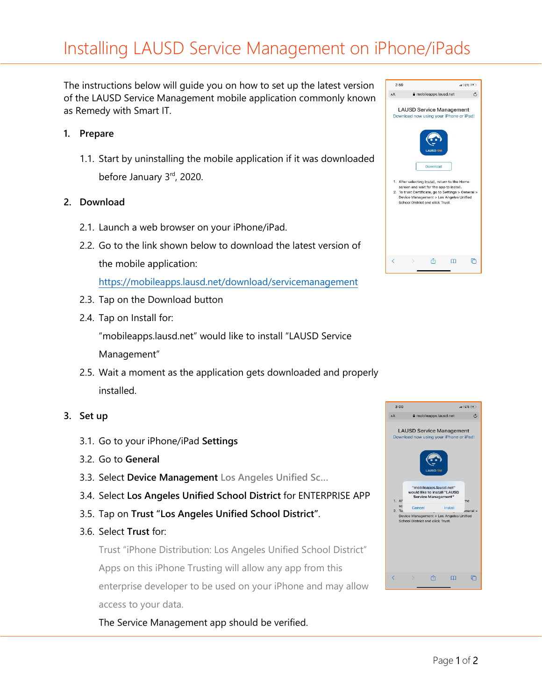# Installing LAUSD Service Management on iPhone/iPads

The instructions below will guide you on how to set up the latest version of the LAUSD Service Management mobile application commonly known as Remedy with Smart IT.

### **1. Prepare**

1.1. Start by uninstalling the mobile application if it was downloaded before January 3rd, 2020.

### **2. Download**

- 2.1. Launch a web browser on your iPhone/iPad.
- 2.2. Go to the link shown below to download the latest version of the mobile application:

<https://mobileapps.lausd.net/download/servicemanagement>

- 2.3. Tap on the Download button
- 2.4. Tap on Install for:

"mobileapps.lausd.net" would like to install "LAUSD Service Management"

2.5. Wait a moment as the application gets downloaded and properly installed.

#### **3. Set up**

- 3.1. Go to your iPhone/iPad **Settings**
- 3.2. Go to **General**
- 3.3. Select **Device Management Los Angeles Unified Sc…**
- 3.4. Select **Los Angeles Unified School District** for ENTERPRISE APP
- 3.5. Tap on **Trust "Los Angeles Unified School District"**.
- 3.6. Select **Trust** for:

Trust "iPhone Distribution: Los Angeles Unified School District" Apps on this iPhone Trusting will allow any app from this enterprise developer to be used on your iPhone and may allow access to your data.

The Service Management app should be verified.